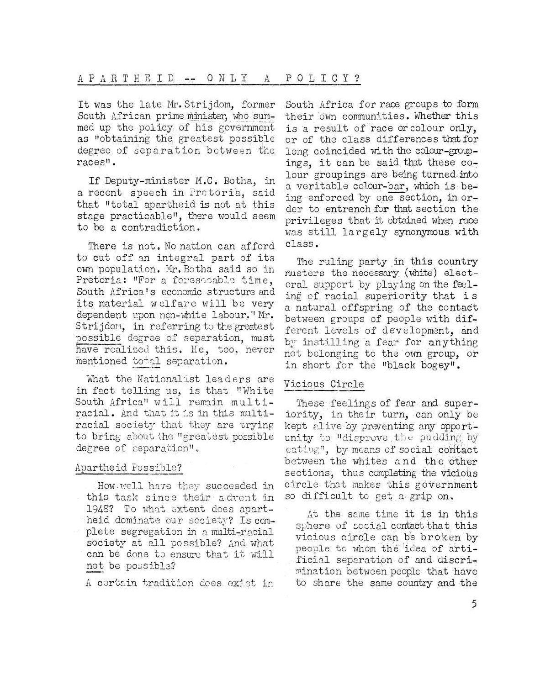It was the late Mr. Strijdom, former South African prime minister, who summed up the policy.of his government as "obtaining the greatest possible degree of separation between the races".

If Deputy-minister M.C• Botha, in a recent speech in Pretoria, said that "total apartheid is not at this stage practicable", there would seem to be a contradiction.

There is not. No nation can afford to cut off an integral part of its own population. Mr.Botha said so in Pretoria: "For a forescoable time, South Africa's economic structure and its material welfare will be very dependent upon non-white labour." Mr. Strijdori, in referring to the greatest possible degree of separation, must have realised this. He, too, never mentioned total separation.

What the Nationalist leaders are in fact telling us, is that "White South Africa" will remain multiracial. And that it is in this multiracial society that they are trying to bring about the "greatest possible degree of separation",

## Apartheid Possible?

How-well have they succeeded in this task since their advent in 1948? To what extent does apartheid dominate our society? Is complete segregation in a multi-racial society at all possible? And what can be done to ensure that it will not be possible?

A certain tradition does exist in

South Africa for race groups to form their own communities. Whether this is a result of race or colour only, or of the class differences that for long coincided with the colour-groupings, it can be said that these colour groupings are being turned into a veritable colour-bar, which is being enforced by one section, in order to entrench for that section the privileges that it obtained when race was still largely synonymous with class.

The ruling party in this country musters the necessary (white) electoral support by playing on the feeling of racial superiority that is a natural offspring of the Contact between groups of people with different levels of development, and by instilling a fear for anything not belonging to the own group, or in short for the "black bogey".

## Vicious Circle

These feelings of fear and superiority, in their turn, can only be kept alive by preventing any opportunity to "disprove .the pudding; by eating", by means of social contact between the whites and the other sections, thus completing the vicious circle that makes this government so difficult to get a grip on.

At the same time it is in this sphere of social contact that this vicious circle can be broken by people to whom the idea of artificial separation of and discrimination between people that have to share the same country and the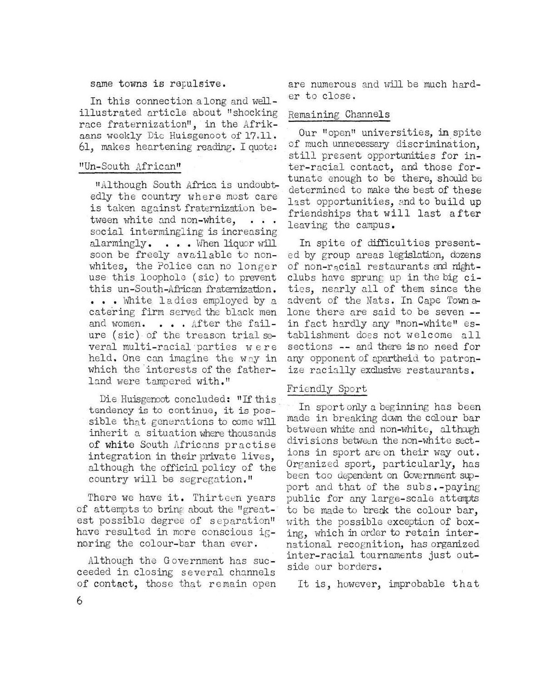# same towns is repulsive.

In this connection along and wellillustrated article about "shocking race fraternization", in the Afrikaans weekly Die Huisgenoot of 17.11. 61, makes heartening reading. I quotes

## "Un~South African"

"Although South Africa is undoubtedly the country where most care is taken against fraternization between white and non-white. . . . social intermingling is increasing alarmingly. . . . When liquor will soon be freely available to nonwhites, the Police can no longer use this loophole (sic) to prevent this un-South-African fraternization. ... White ladies employed by a catering firm served the black men and women. . . . After the failure (sic) of the treason trial several multi-racial parties were held. One can imagine the way in which the'interests of the fatherland were tampered with."

Die Huisgenoot concluded: "If this tendency is to continue, it is possible that generations to come will inherit a situation where thousands of white South Africans practise integration in their private lives, although the official policy of the country will be segregation."

There we have it. Thirteen years of attempts to bring about the "great-' est possible degree of separation" have resulted in more conscious ignoring the colour-bar than ever.

Although the Government has succeeded in closing several channels of contact, those that remain open are numerous and will be much harder to close.

#### Remaining Channels

Our "open" universities, in spite of much unnecessary discrimination, still present opportunities for inter-racial contact, and those fortunate enough to be there, should be determined to make the best of these last opportunities, and to build up friendships that will last after leaving the campus.

In spite of difficulties presented by group areas legislation, dozens of non-racial restaurants and nightclubs have sprung up in the big cities, nearly all of them since the advent of the Nats. In Cape Town alone there are said to be seven -in fact hardly any "non-white" establishment does not welcome all sections -- and there is no need for any opponent of apartheid to patronize racially exclusive restaurants.

## Friendly Sport

In sport only a beginning has been made in breaking down the colour bar between white and non-white, although divisions between the non-white sections in sport are on their way out. Organized sport, particularly, has been too dependent on Government sipport and that of the subs.-paying public for any large-scale attempts to be made to break the colour bar, with the possible exception of boxing, which in order to retain international recognition, has organized inter-racial tournaments just outside our borders.

It is, however, improbable that